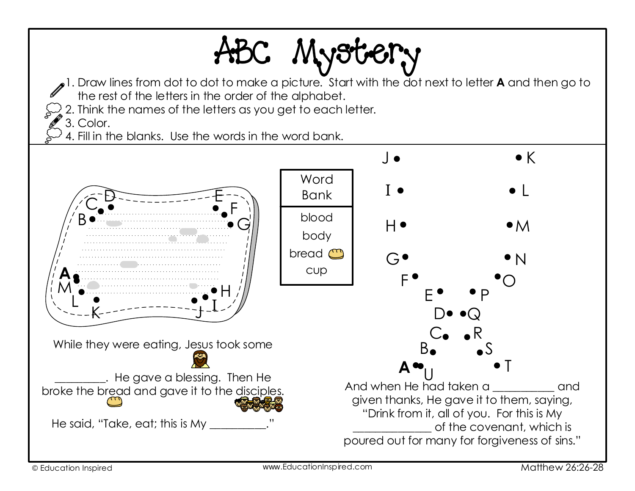## ABC Mystery

- 1. Draw lines from dot to dot to make a picture. Start with the dot next to letter **A** and then go to the rest of the letters in the order of the alphabet.
- 2. Think the names of the letters as you get to each letter.

3. Color.

4. Fill in the blanks. Use the words in the word bank.